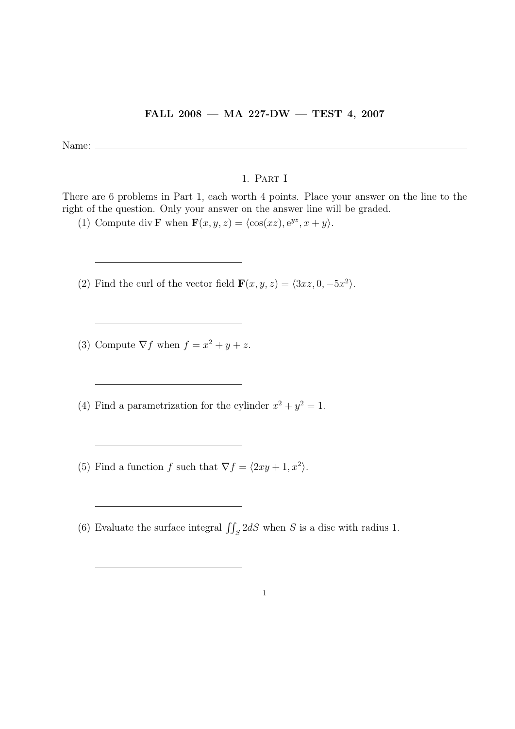## FALL 2008 — MA 227-DW — TEST 4, 2007

Name:

## 1. Part I

There are 6 problems in Part 1, each worth 4 points. Place your answer on the line to the right of the question. Only your answer on the answer line will be graded.

(1) Compute div **F** when  $\mathbf{F}(x, y, z) = \langle \cos(xz), e^{yz}, x + y \rangle$ .

(2) Find the curl of the vector field  $\mathbf{F}(x, y, z) = \langle 3xz, 0, -5x^2 \rangle$ .

(3) Compute  $\nabla f$  when  $f = x^2 + y + z$ .

(4) Find a parametrization for the cylinder  $x^2 + y^2 = 1$ .

(5) Find a function f such that  $\nabla f = \langle 2xy + 1, x^2 \rangle$ .

(6) Evaluate the surface integral  $\iint_S 2dS$  when S is a disc with radius 1.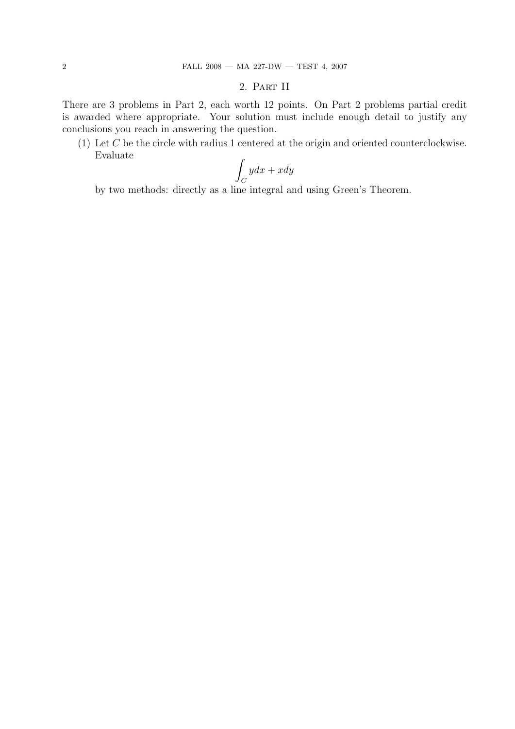## 2. Part II

There are 3 problems in Part 2, each worth 12 points. On Part 2 problems partial credit is awarded where appropriate. Your solution must include enough detail to justify any conclusions you reach in answering the question.

(1) Let C be the circle with radius 1 centered at the origin and oriented counterclockwise. Evaluate

$$
\int_C ydx + xdy
$$

by two methods: directly as a line integral and using Green's Theorem.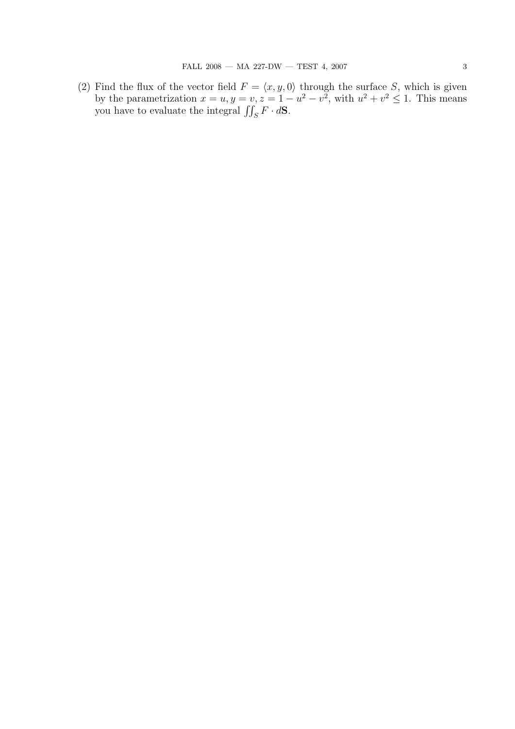(2) Find the flux of the vector field  $F = \langle x, y, 0 \rangle$  through the surface S, which is given by the parametrization  $x = u, y = v, z = 1 - u^2 - v^2$ , with  $u^2 + v^2 \le 1$ . This means you have to evaluate the integral  $\iint_S F \cdot d\mathbf{S}$ .